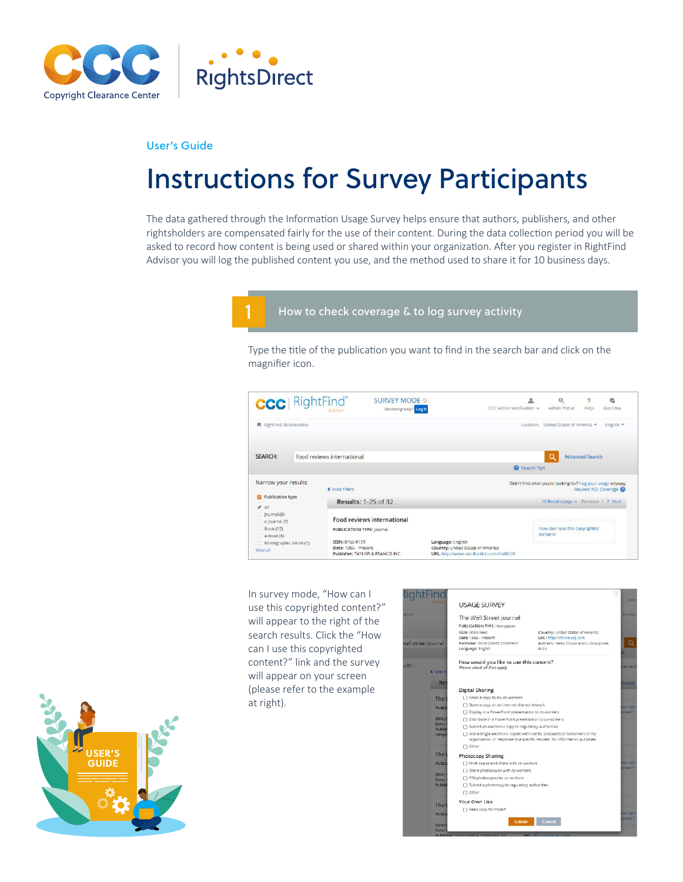

## User's Guide

# Instructions for Survey Participants

The data gathered through the Information Usage Survey helps ensure that authors, publishers, and other rightsholders are compensated fairly for the use of their content. During the data collection period you will be asked to record how content is being used or shared within your organization. After you register in RightFind Advisor you will log the published content you use, and the method used to share it for 10 business days.



## How to check coverage & to log survey activity

Type the title of the publication you want to find in the search bar and click on the magnifier icon.



In survey mode, "How can I use this copyrighted content?" will appear to the right of the search results. Click the "How can I use this copyrighted content?" link and the survey will appear on your screen (please refer to the example at right).



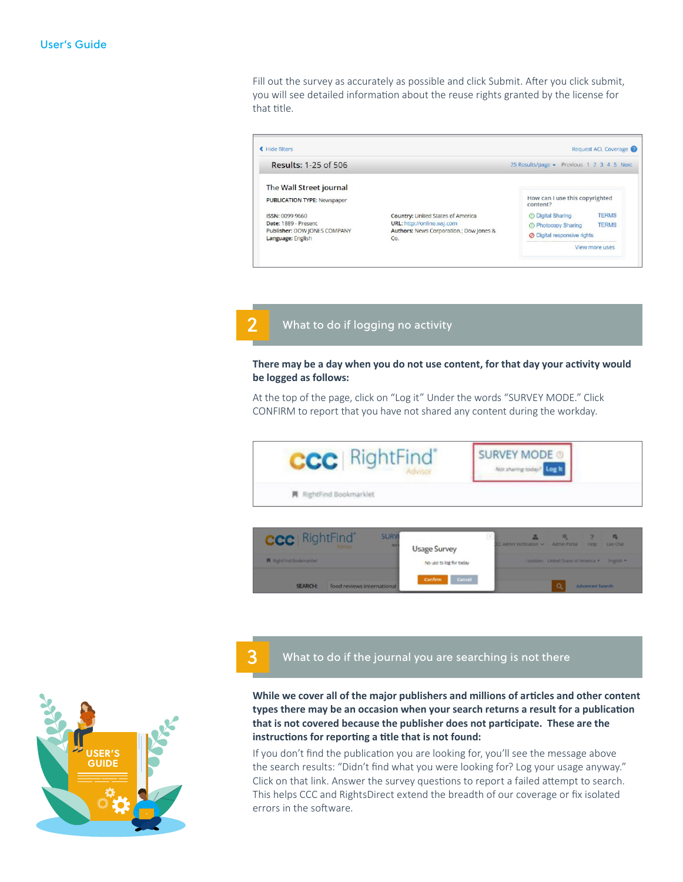Fill out the survey as accurately as possible and click Submit. After you click submit, you will see detailed information about the reuse rights granted by the license for that title.



2

3

# What to do if logging no activity

## **There may be a day when you do not use content, for that day your activity would be logged as follows:**

At the top of the page, click on "Log it" Under the words "SURVEY MODE." Click CONFIRM to report that you have not shared any content during the workday.







# What to do if the journal you are searching is not there

**While we cover all of the major publishers and millions of articles and other content types there may be an occasion when your search returns a result for a publication that is not covered because the publisher does not participate. These are the instructions for reporting a title that is not found:**

If you don't find the publication you are looking for, you'll see the message above the search results: "Didn't find what you were looking for? Log your usage anyway." Click on that link. Answer the survey questions to report a failed attempt to search. This helps CCC and RightsDirect extend the breadth of our coverage or fix isolated errors in the software.